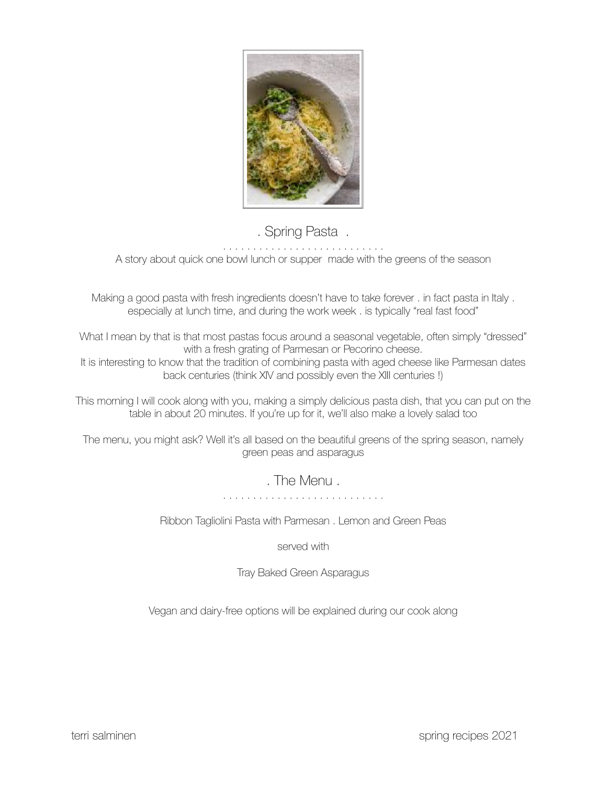

# . Spring Pasta.

A story about quick one bowl lunch or supper made with the greens of the season

Making a good pasta with fresh ingredients doesn't have to take forever . in fact pasta in Italy . especially at lunch time, and during the work week . is typically "real fast food"

What I mean by that is that most pastas focus around a seasonal vegetable, often simply "dressed" with a fresh grating of Parmesan or Pecorino cheese.

It is interesting to know that the tradition of combining pasta with aged cheese like Parmesan dates back centuries (think XIV and possibly even the XIII centuries !)

This morning I will cook along with you, making a simply delicious pasta dish, that you can put on the table in about 20 minutes. If you're up for it, we'll also make a lovely salad too

The menu, you might ask? Well it's all based on the beautiful greens of the spring season, namely green peas and asparagus

. The Menu .

Ribbon Tagliolini Pasta with Parmesan . Lemon and Green Peas

served with

Tray Baked Green Asparagus

Vegan and dairy-free options will be explained during our cook along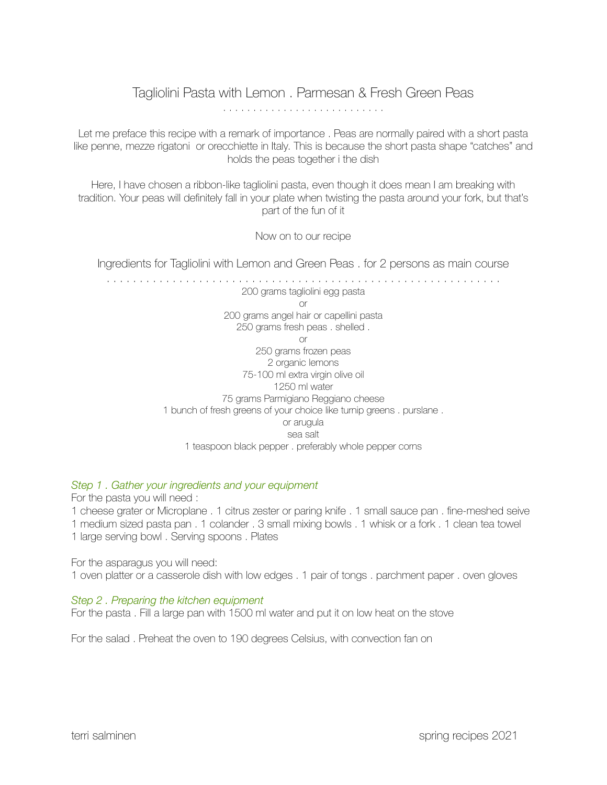# Tagliolini Pasta with Lemon . Parmesan & Fresh Green Peas

Let me preface this recipe with a remark of importance . Peas are normally paired with a short pasta like penne, mezze rigatoni or orecchiette in Italy. This is because the short pasta shape "catches" and holds the peas together i the dish

Here, I have chosen a ribbon-like tagliolini pasta, even though it does mean I am breaking with tradition. Your peas will definitely fall in your plate when twisting the pasta around your fork, but that's part of the fun of it

Now on to our recipe

Ingredients for Tagliolini with Lemon and Green Peas . for 2 persons as main course

. . . . . . . . . . . . . . . . . . . . . . . . . . . . . . . . . . . . . . . . . . . . . . . . . . . . . . . . . . . . 200 grams tagliolini egg pasta or 200 grams angel hair or capellini pasta 250 grams fresh peas . shelled . or 250 grams frozen peas 2 organic lemons 75-100 ml extra virgin olive oil 1250 ml water 75 grams Parmigiano Reggiano cheese 1 bunch of fresh greens of your choice like turnip greens . purslane . or arugula sea salt 1 teaspoon black pepper . preferably whole pepper corns

# *Step 1 . Gather your ingredients and your equipment*

For the pasta you will need :

1 cheese grater or Microplane . 1 citrus zester or paring knife . 1 small sauce pan . fine-meshed seive 1 medium sized pasta pan . 1 colander . 3 small mixing bowls . 1 whisk or a fork . 1 clean tea towel 1 large serving bowl . Serving spoons . Plates

For the asparagus you will need: 1 oven platter or a casserole dish with low edges . 1 pair of tongs . parchment paper . oven gloves

# *Step 2 . Preparing the kitchen equipment*

For the pasta . Fill a large pan with 1500 ml water and put it on low heat on the stove

For the salad . Preheat the oven to 190 degrees Celsius, with convection fan on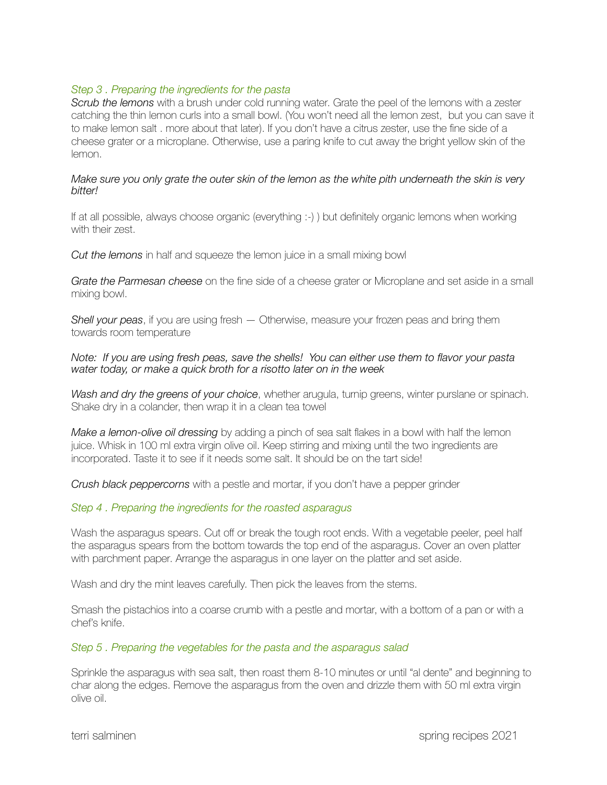# *Step 3 . Preparing the ingredients for the pasta*

*Scrub the lemons* with a brush under cold running water. Grate the peel of the lemons with a zester catching the thin lemon curls into a small bowl. (You won't need all the lemon zest, but you can save it to make lemon salt . more about that later). If you don't have a citrus zester, use the fine side of a cheese grater or a microplane. Otherwise, use a paring knife to cut away the bright yellow skin of the lemon.

#### *Make sure you only grate the outer skin of the lemon as the white pith underneath the skin is very bitter!*

If at all possible, always choose organic (everything :-) ) but definitely organic lemons when working with their zest.

*Cut the lemons* in half and squeeze the lemon juice in a small mixing bowl

*Grate the Parmesan cheese* on the fine side of a cheese grater or Microplane and set aside in a small mixing bowl.

*Shell your peas*, if you are using fresh — Otherwise, measure your frozen peas and bring them towards room temperature

#### *Note: If you are using fresh peas, save the shells! You can either use them to flavor your pasta water today, or make a quick broth for a risotto later on in the week*

*Wash and dry the greens of your choice*, whether arugula, turnip greens, winter purslane or spinach. Shake dry in a colander, then wrap it in a clean tea towel

*Make a lemon-olive oil dressing* by adding a pinch of sea salt flakes in a bowl with half the lemon juice. Whisk in 100 ml extra virgin olive oil. Keep stirring and mixing until the two ingredients are incorporated. Taste it to see if it needs some salt. It should be on the tart side!

*Crush black peppercorns* with a pestle and mortar, if you don't have a pepper grinder

# *Step 4 . Preparing the ingredients for the roasted asparagus*

Wash the asparagus spears. Cut off or break the tough root ends. With a vegetable peeler, peel half the asparagus spears from the bottom towards the top end of the asparagus. Cover an oven platter with parchment paper. Arrange the asparagus in one layer on the platter and set aside.

Wash and dry the mint leaves carefully. Then pick the leaves from the stems.

Smash the pistachios into a coarse crumb with a pestle and mortar, with a bottom of a pan or with a chef's knife.

# *Step 5 . Preparing the vegetables for the pasta and the asparagus salad*

Sprinkle the asparagus with sea salt, then roast them 8-10 minutes or until "al dente" and beginning to char along the edges. Remove the asparagus from the oven and drizzle them with 50 ml extra virgin olive oil.